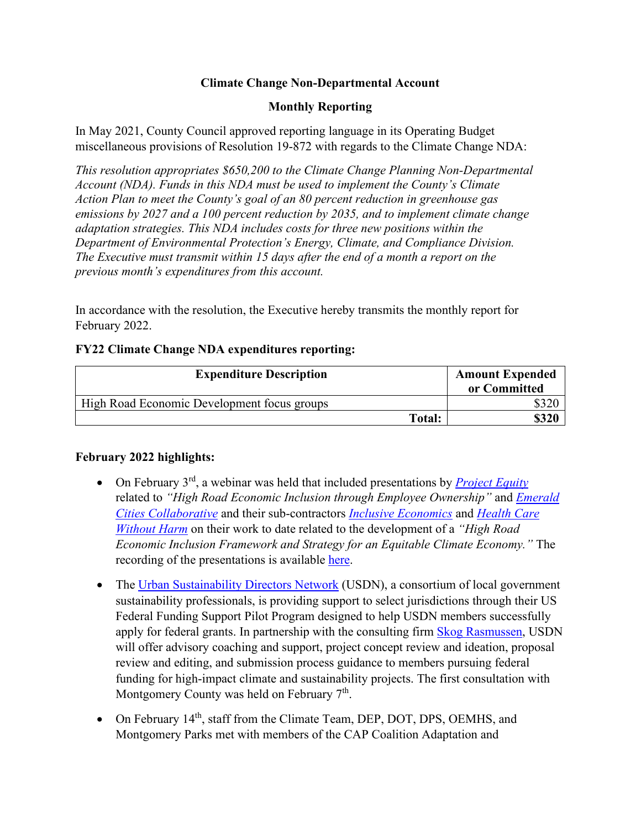# **Climate Change Non-Departmental Account**

# **Monthly Reporting**

In May 2021, County Council approved reporting language in its Operating Budget miscellaneous provisions of Resolution 19-872 with regards to the Climate Change NDA:

*This resolution appropriates \$650,200 to the Climate Change Planning Non-Departmental Account (NDA). Funds in this NDA must be used to implement the County's Climate Action Plan to meet the County's goal of an 80 percent reduction in greenhouse gas emissions by 2027 and a 100 percent reduction by 2035, and to implement climate change adaptation strategies. This NDA includes costs for three new positions within the Department of Environmental Protection's Energy, Climate, and Compliance Division. The Executive must transmit within 15 days after the end of a month a report on the previous month's expenditures from this account.*

In accordance with the resolution, the Executive hereby transmits the monthly report for February 2022.

### **FY22 Climate Change NDA expenditures reporting:**

| <b>Expenditure Description</b>              | <b>Amount Expended</b><br>or Committed |
|---------------------------------------------|----------------------------------------|
| High Road Economic Development focus groups |                                        |
| Total:                                      |                                        |

### **February 2022 highlights:**

- On February 3<sup>rd</sup>, a webinar was held that included presentations by *[Project Equity](https://project-equity.org/)* related to *"High Road Economic Inclusion through Employee Ownership"* and *[Emerald](https://emeraldcities.org/)  [Cities Collaborative](https://emeraldcities.org/)* and their sub-contractors *[Inclusive Economics](https://inclusiveecon.com/)* and *[Health Care](https://noharm.org/)  [Without Harm](https://noharm.org/)* on their work to date related to the development of a *"High Road Economic Inclusion Framework and Strategy for an Equitable Climate Economy."* The recording of the presentations is available [here.](https://youtu.be/W0iMKg5jgMI)
- The [Urban Sustainability Directors Network](https://www.usdn.org/index.html#/) (USDN), a consortium of local government sustainability professionals, is providing support to select jurisdictions through their US Federal Funding Support Pilot Program designed to help USDN members successfully apply for federal grants. In partnership with the consulting firm [Skog Rasmussen,](https://www.skograsmussen.com/) USDN will offer advisory coaching and support, project concept review and ideation, proposal review and editing, and submission process guidance to members pursuing federal funding for high-impact climate and sustainability projects. The first consultation with Montgomery County was held on February  $7<sup>th</sup>$ .
- On February 14<sup>th</sup>, staff from the Climate Team, DEP, DOT, DPS, OEMHS, and Montgomery Parks met with members of the CAP Coalition Adaptation and